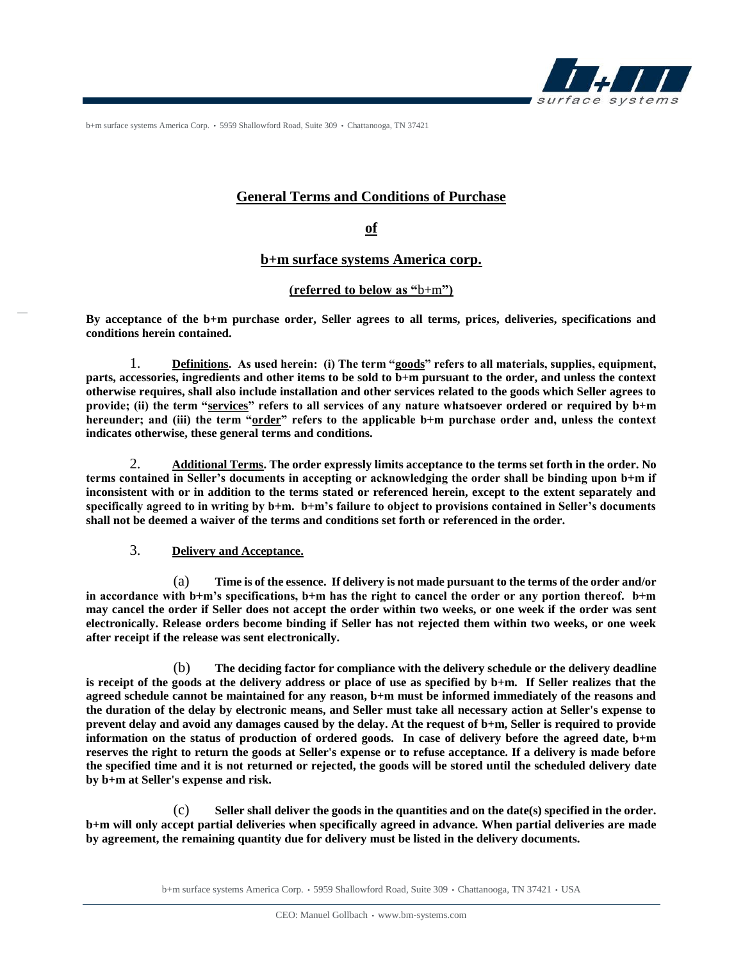

b+m surface systems America Corp. • 5959 Shallowford Road, Suite 309 • Chattanooga, TN 37421

# **General Terms and Conditions of Purchase**

**of**

**b+m surface systems America corp.**

### **(referred to below as "**b+m**")**

**By acceptance of the b+m purchase order, Seller agrees to all terms, prices, deliveries, specifications and conditions herein contained.**

1. **Definitions. As used herein: (i) The term "goods" refers to all materials, supplies, equipment, parts, accessories, ingredients and other items to be sold to b+m pursuant to the order, and unless the context otherwise requires, shall also include installation and other services related to the goods which Seller agrees to provide; (ii) the term "services" refers to all services of any nature whatsoever ordered or required by b+m hereunder; and (iii) the term "order" refers to the applicable b+m purchase order and, unless the context indicates otherwise, these general terms and conditions.**

2. **Additional Terms. The order expressly limits acceptance to the terms set forth in the order. No terms contained in Seller's documents in accepting or acknowledging the order shall be binding upon b+m if inconsistent with or in addition to the terms stated or referenced herein, except to the extent separately and specifically agreed to in writing by b+m. b+m's failure to object to provisions contained in Seller's documents shall not be deemed a waiver of the terms and conditions set forth or referenced in the order.**

### 3. **Delivery and Acceptance.**

(a) **Time is of the essence. If delivery is not made pursuant to the terms of the order and/or in accordance with b+m's specifications, b+m has the right to cancel the order or any portion thereof. b+m may cancel the order if Seller does not accept the order within two weeks, or one week if the order was sent electronically. Release orders become binding if Seller has not rejected them within two weeks, or one week after receipt if the release was sent electronically.**

(b) **The deciding factor for compliance with the delivery schedule or the delivery deadline is receipt of the goods at the delivery address or place of use as specified by b+m. If Seller realizes that the agreed schedule cannot be maintained for any reason, b+m must be informed immediately of the reasons and the duration of the delay by electronic means, and Seller must take all necessary action at Seller's expense to prevent delay and avoid any damages caused by the delay. At the request of b+m, Seller is required to provide information on the status of production of ordered goods. In case of delivery before the agreed date, b+m reserves the right to return the goods at Seller's expense or to refuse acceptance. If a delivery is made before the specified time and it is not returned or rejected, the goods will be stored until the scheduled delivery date by b+m at Seller's expense and risk.**

(c) **Seller shall deliver the goods in the quantities and on the date(s) specified in the order. b+m will only accept partial deliveries when specifically agreed in advance. When partial deliveries are made by agreement, the remaining quantity due for delivery must be listed in the delivery documents.**

b+m surface systems America Corp. • 5959 Shallowford Road, Suite 309 • Chattanooga, TN 37421 • USA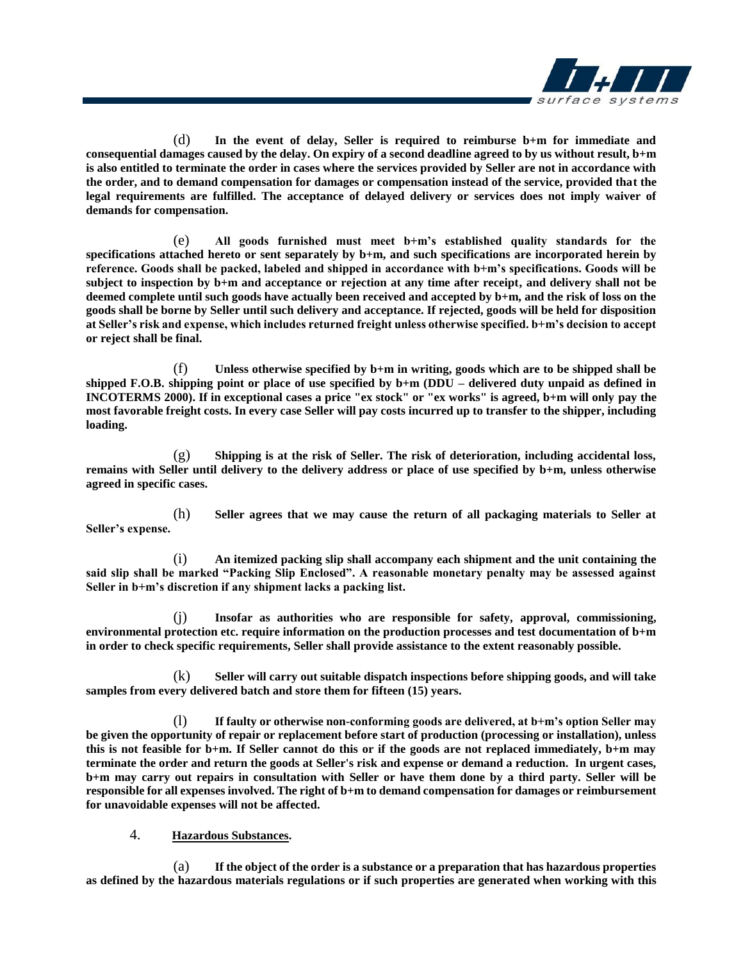

(d) **In the event of delay, Seller is required to reimburse b+m for immediate and consequential damages caused by the delay. On expiry of a second deadline agreed to by us without result, b+m is also entitled to terminate the order in cases where the services provided by Seller are not in accordance with the order, and to demand compensation for damages or compensation instead of the service, provided that the legal requirements are fulfilled. The acceptance of delayed delivery or services does not imply waiver of demands for compensation.**

(e) **All goods furnished must meet b+m's established quality standards for the specifications attached hereto or sent separately by b+m, and such specifications are incorporated herein by reference. Goods shall be packed, labeled and shipped in accordance with b+m's specifications. Goods will be subject to inspection by b+m and acceptance or rejection at any time after receipt, and delivery shall not be deemed complete until such goods have actually been received and accepted by b+m, and the risk of loss on the goods shall be borne by Seller until such delivery and acceptance. If rejected, goods will be held for disposition at Seller's risk and expense, which includes returned freight unless otherwise specified. b+m's decision to accept or reject shall be final.** 

(f) **Unless otherwise specified by b+m in writing, goods which are to be shipped shall be shipped F.O.B. shipping point or place of use specified by b+m (DDU – delivered duty unpaid as defined in INCOTERMS 2000). If in exceptional cases a price "ex stock" or "ex works" is agreed, b+m will only pay the most favorable freight costs. In every case Seller will pay costs incurred up to transfer to the shipper, including loading.**

(g) **Shipping is at the risk of Seller. The risk of deterioration, including accidental loss, remains with Seller until delivery to the delivery address or place of use specified by b+m, unless otherwise agreed in specific cases.**

(h) **Seller agrees that we may cause the return of all packaging materials to Seller at Seller's expense.**

(i) **An itemized packing slip shall accompany each shipment and the unit containing the said slip shall be marked "Packing Slip Enclosed". A reasonable monetary penalty may be assessed against Seller in b+m's discretion if any shipment lacks a packing list.**

(j) **Insofar as authorities who are responsible for safety, approval, commissioning, environmental protection etc. require information on the production processes and test documentation of b+m in order to check specific requirements, Seller shall provide assistance to the extent reasonably possible.**

(k) **Seller will carry out suitable dispatch inspections before shipping goods, and will take samples from every delivered batch and store them for fifteen (15) years.**

(l) **If faulty or otherwise non-conforming goods are delivered, at b+m's option Seller may be given the opportunity of repair or replacement before start of production (processing or installation), unless this is not feasible for b+m. If Seller cannot do this or if the goods are not replaced immediately, b+m may terminate the order and return the goods at Seller's risk and expense or demand a reduction. In urgent cases, b+m may carry out repairs in consultation with Seller or have them done by a third party. Seller will be responsible for all expenses involved. The right of b+m to demand compensation for damages or reimbursement for unavoidable expenses will not be affected.**

### 4. **Hazardous Substances.**

(a) **If the object of the order is a substance or a preparation that has hazardous properties as defined by the hazardous materials regulations or if such properties are generated when working with this**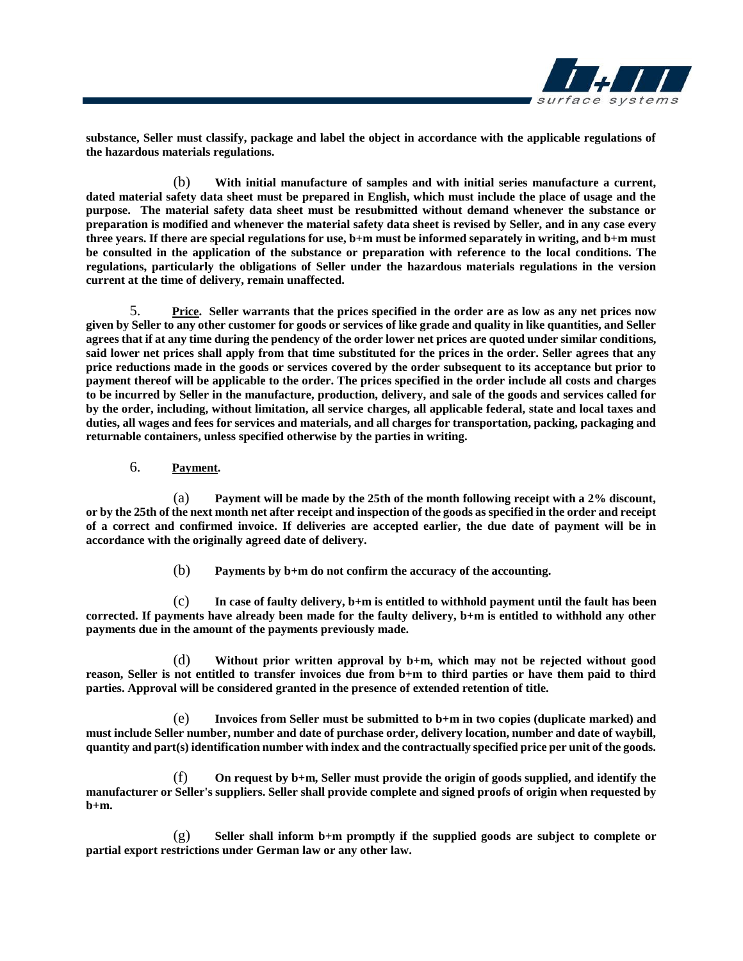

**substance, Seller must classify, package and label the object in accordance with the applicable regulations of the hazardous materials regulations.**

(b) **With initial manufacture of samples and with initial series manufacture a current, dated material safety data sheet must be prepared in English, which must include the place of usage and the purpose. The material safety data sheet must be resubmitted without demand whenever the substance or preparation is modified and whenever the material safety data sheet is revised by Seller, and in any case every three years. If there are special regulations for use, b+m must be informed separately in writing, and b+m must be consulted in the application of the substance or preparation with reference to the local conditions. The regulations, particularly the obligations of Seller under the hazardous materials regulations in the version current at the time of delivery, remain unaffected.**

5. **Price. Seller warrants that the prices specified in the order are as low as any net prices now given by Seller to any other customer for goods or services of like grade and quality in like quantities, and Seller agrees that if at any time during the pendency of the order lower net prices are quoted under similar conditions, said lower net prices shall apply from that time substituted for the prices in the order. Seller agrees that any price reductions made in the goods or services covered by the order subsequent to its acceptance but prior to payment thereof will be applicable to the order. The prices specified in the order include all costs and charges to be incurred by Seller in the manufacture, production, delivery, and sale of the goods and services called for by the order, including, without limitation, all service charges, all applicable federal, state and local taxes and duties, all wages and fees for services and materials, and all charges for transportation, packing, packaging and returnable containers, unless specified otherwise by the parties in writing.**

6. **Payment.** 

(a) **Payment will be made by the 25th of the month following receipt with a 2% discount, or by the 25th of the next month net after receipt and inspection of the goods as specified in the order and receipt of a correct and confirmed invoice. If deliveries are accepted earlier, the due date of payment will be in accordance with the originally agreed date of delivery.**

(b) **Payments by b+m do not confirm the accuracy of the accounting.**

(c) **In case of faulty delivery, b+m is entitled to withhold payment until the fault has been corrected. If payments have already been made for the faulty delivery, b+m is entitled to withhold any other payments due in the amount of the payments previously made.**

(d) **Without prior written approval by b+m, which may not be rejected without good reason, Seller is not entitled to transfer invoices due from b+m to third parties or have them paid to third parties. Approval will be considered granted in the presence of extended retention of title.**

(e) **Invoices from Seller must be submitted to b+m in two copies (duplicate marked) and must include Seller number, number and date of purchase order, delivery location, number and date of waybill, quantity and part(s) identification number with index and the contractually specified price per unit of the goods.**

(f) **On request by b+m, Seller must provide the origin of goods supplied, and identify the manufacturer or Seller's suppliers. Seller shall provide complete and signed proofs of origin when requested by b+m.**

(g) **Seller shall inform b+m promptly if the supplied goods are subject to complete or partial export restrictions under German law or any other law.**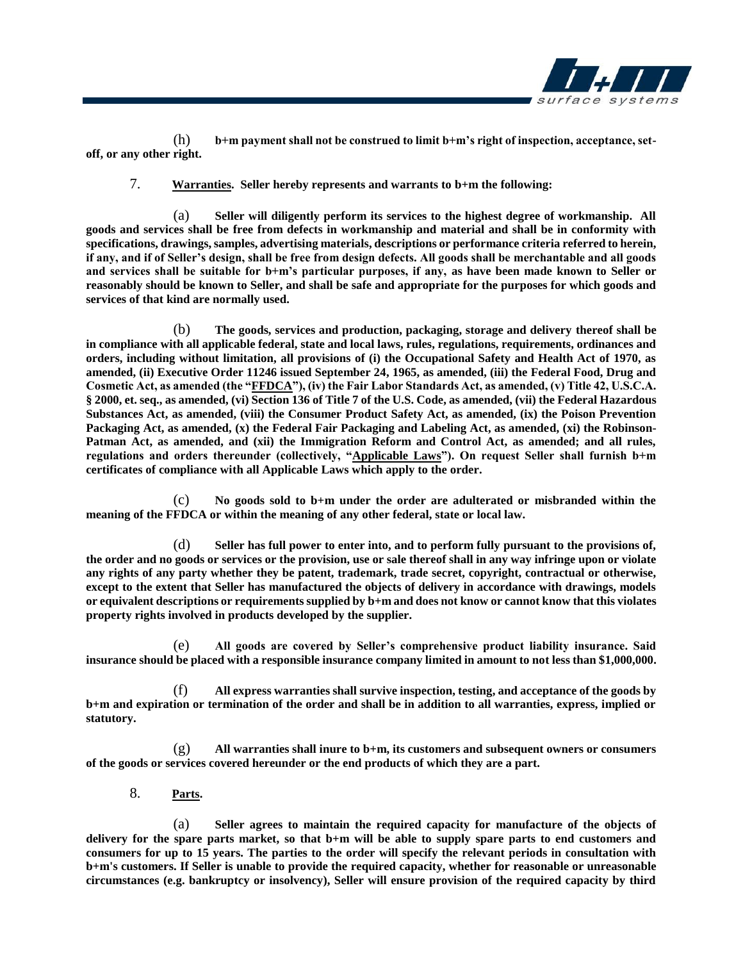

(h) **b+m payment shall not be construed to limit b+m's right of inspection, acceptance, setoff, or any other right.**

7. **Warranties. Seller hereby represents and warrants to b+m the following:**

(a) **Seller will diligently perform its services to the highest degree of workmanship. All goods and services shall be free from defects in workmanship and material and shall be in conformity with specifications, drawings, samples, advertising materials, descriptions or performance criteria referred to herein, if any, and if of Seller's design, shall be free from design defects. All goods shall be merchantable and all goods and services shall be suitable for b+m's particular purposes, if any, as have been made known to Seller or reasonably should be known to Seller, and shall be safe and appropriate for the purposes for which goods and services of that kind are normally used.**

(b) **The goods, services and production, packaging, storage and delivery thereof shall be in compliance with all applicable federal, state and local laws, rules, regulations, requirements, ordinances and orders, including without limitation, all provisions of (i) the Occupational Safety and Health Act of 1970, as amended, (ii) Executive Order 11246 issued September 24, 1965, as amended, (iii) the Federal Food, Drug and Cosmetic Act, as amended (the "FFDCA"), (iv) the Fair Labor Standards Act, as amended, (v) Title 42, U.S.C.A. § 2000, et. seq., as amended, (vi) Section 136 of Title 7 of the U.S. Code, as amended, (vii) the Federal Hazardous Substances Act, as amended, (viii) the Consumer Product Safety Act, as amended, (ix) the Poison Prevention Packaging Act, as amended, (x) the Federal Fair Packaging and Labeling Act, as amended, (xi) the Robinson-Patman Act, as amended, and (xii) the Immigration Reform and Control Act, as amended; and all rules, regulations and orders thereunder (collectively, "Applicable Laws"). On request Seller shall furnish b+m certificates of compliance with all Applicable Laws which apply to the order.**

(c) **No goods sold to b+m under the order are adulterated or misbranded within the meaning of the FFDCA or within the meaning of any other federal, state or local law.**

(d) **Seller has full power to enter into, and to perform fully pursuant to the provisions of, the order and no goods or services or the provision, use or sale thereof shall in any way infringe upon or violate any rights of any party whether they be patent, trademark, trade secret, copyright, contractual or otherwise, except to the extent that Seller has manufactured the objects of delivery in accordance with drawings, models or equivalent descriptions or requirements supplied by b+m and does not know or cannot know that this violates property rights involved in products developed by the supplier.**

(e) **All goods are covered by Seller's comprehensive product liability insurance. Said insurance should be placed with a responsible insurance company limited in amount to not less than \$1,000,000.**

(f) **All express warranties shall survive inspection, testing, and acceptance of the goods by b+m and expiration or termination of the order and shall be in addition to all warranties, express, implied or statutory.**

(g) **All warranties shall inure to b+m, its customers and subsequent owners or consumers of the goods or services covered hereunder or the end products of which they are a part.** 

8. **Parts.** 

(a) **Seller agrees to maintain the required capacity for manufacture of the objects of delivery for the spare parts market, so that b+m will be able to supply spare parts to end customers and consumers for up to 15 years. The parties to the order will specify the relevant periods in consultation with b+m's customers. If Seller is unable to provide the required capacity, whether for reasonable or unreasonable circumstances (e.g. bankruptcy or insolvency), Seller will ensure provision of the required capacity by third**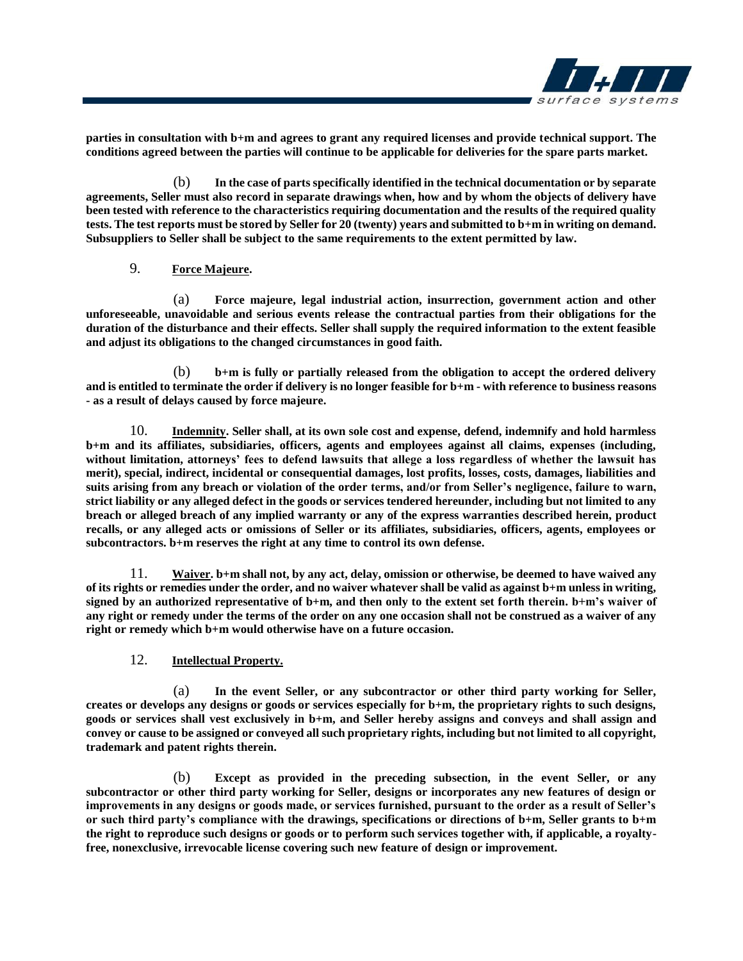

**parties in consultation with b+m and agrees to grant any required licenses and provide technical support. The conditions agreed between the parties will continue to be applicable for deliveries for the spare parts market.**

(b) **In the case of parts specifically identified in the technical documentation or by separate agreements, Seller must also record in separate drawings when, how and by whom the objects of delivery have been tested with reference to the characteristics requiring documentation and the results of the required quality tests. The test reports must be stored by Seller for 20 (twenty) years and submitted to b+m in writing on demand. Subsuppliers to Seller shall be subject to the same requirements to the extent permitted by law.**

# 9. **Force Majeure.**

(a) **Force majeure, legal industrial action, insurrection, government action and other unforeseeable, unavoidable and serious events release the contractual parties from their obligations for the duration of the disturbance and their effects. Seller shall supply the required information to the extent feasible and adjust its obligations to the changed circumstances in good faith.**

(b) **b+m is fully or partially released from the obligation to accept the ordered delivery and is entitled to terminate the order if delivery is no longer feasible for b+m - with reference to business reasons - as a result of delays caused by force majeure.**

10. **Indemnity. Seller shall, at its own sole cost and expense, defend, indemnify and hold harmless b+m and its affiliates, subsidiaries, officers, agents and employees against all claims, expenses (including, without limitation, attorneys' fees to defend lawsuits that allege a loss regardless of whether the lawsuit has merit), special, indirect, incidental or consequential damages, lost profits, losses, costs, damages, liabilities and suits arising from any breach or violation of the order terms, and/or from Seller's negligence, failure to warn, strict liability or any alleged defect in the goods or services tendered hereunder, including but not limited to any breach or alleged breach of any implied warranty or any of the express warranties described herein, product recalls, or any alleged acts or omissions of Seller or its affiliates, subsidiaries, officers, agents, employees or subcontractors. b+m reserves the right at any time to control its own defense.**

11. **Waiver. b+m shall not, by any act, delay, omission or otherwise, be deemed to have waived any of its rights or remedies under the order, and no waiver whatever shall be valid as against b+m unless in writing, signed by an authorized representative of b+m, and then only to the extent set forth therein. b+m's waiver of any right or remedy under the terms of the order on any one occasion shall not be construed as a waiver of any right or remedy which b+m would otherwise have on a future occasion.**

### 12. **Intellectual Property.**

(a) **In the event Seller, or any subcontractor or other third party working for Seller, creates or develops any designs or goods or services especially for b+m, the proprietary rights to such designs, goods or services shall vest exclusively in b+m, and Seller hereby assigns and conveys and shall assign and convey or cause to be assigned or conveyed all such proprietary rights, including but not limited to all copyright, trademark and patent rights therein.**

(b) **Except as provided in the preceding subsection, in the event Seller, or any subcontractor or other third party working for Seller, designs or incorporates any new features of design or improvements in any designs or goods made, or services furnished, pursuant to the order as a result of Seller's or such third party's compliance with the drawings, specifications or directions of b+m, Seller grants to b+m the right to reproduce such designs or goods or to perform such services together with, if applicable, a royaltyfree, nonexclusive, irrevocable license covering such new feature of design or improvement.**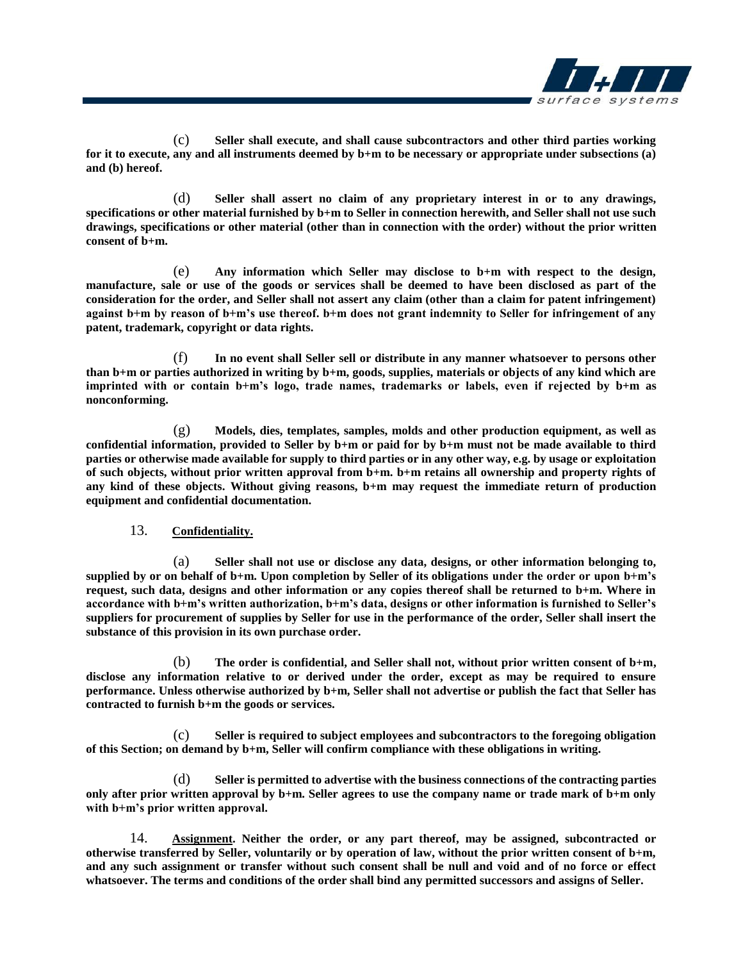

(c) **Seller shall execute, and shall cause subcontractors and other third parties working for it to execute, any and all instruments deemed by b+m to be necessary or appropriate under subsections (a) and (b) hereof.**

(d) **Seller shall assert no claim of any proprietary interest in or to any drawings, specifications or other material furnished by b+m to Seller in connection herewith, and Seller shall not use such drawings, specifications or other material (other than in connection with the order) without the prior written consent of b+m.**

(e) **Any information which Seller may disclose to b+m with respect to the design, manufacture, sale or use of the goods or services shall be deemed to have been disclosed as part of the consideration for the order, and Seller shall not assert any claim (other than a claim for patent infringement) against b+m by reason of b+m's use thereof. b+m does not grant indemnity to Seller for infringement of any patent, trademark, copyright or data rights.**

(f) **In no event shall Seller sell or distribute in any manner whatsoever to persons other than b+m or parties authorized in writing by b+m, goods, supplies, materials or objects of any kind which are imprinted with or contain b+m's logo, trade names, trademarks or labels, even if rejected by b+m as nonconforming.**

(g) **Models, dies, templates, samples, molds and other production equipment, as well as confidential information, provided to Seller by b+m or paid for by b+m must not be made available to third parties or otherwise made available for supply to third parties or in any other way, e.g. by usage or exploitation of such objects, without prior written approval from b+m. b+m retains all ownership and property rights of any kind of these objects. Without giving reasons, b+m may request the immediate return of production equipment and confidential documentation.**

### 13. **Confidentiality.**

(a) **Seller shall not use or disclose any data, designs, or other information belonging to, supplied by or on behalf of b+m. Upon completion by Seller of its obligations under the order or upon b+m's request, such data, designs and other information or any copies thereof shall be returned to b+m. Where in accordance with b+m's written authorization, b+m's data, designs or other information is furnished to Seller's suppliers for procurement of supplies by Seller for use in the performance of the order, Seller shall insert the substance of this provision in its own purchase order.**

(b) **The order is confidential, and Seller shall not, without prior written consent of b+m, disclose any information relative to or derived under the order, except as may be required to ensure performance. Unless otherwise authorized by b+m, Seller shall not advertise or publish the fact that Seller has contracted to furnish b+m the goods or services.**

(c) **Seller is required to subject employees and subcontractors to the foregoing obligation of this Section; on demand by b+m, Seller will confirm compliance with these obligations in writing.**

(d) **Seller is permitted to advertise with the business connections of the contracting parties only after prior written approval by b+m. Seller agrees to use the company name or trade mark of b+m only with b+m's prior written approval.**

14. **Assignment. Neither the order, or any part thereof, may be assigned, subcontracted or otherwise transferred by Seller, voluntarily or by operation of law, without the prior written consent of b+m, and any such assignment or transfer without such consent shall be null and void and of no force or effect whatsoever. The terms and conditions of the order shall bind any permitted successors and assigns of Seller.**